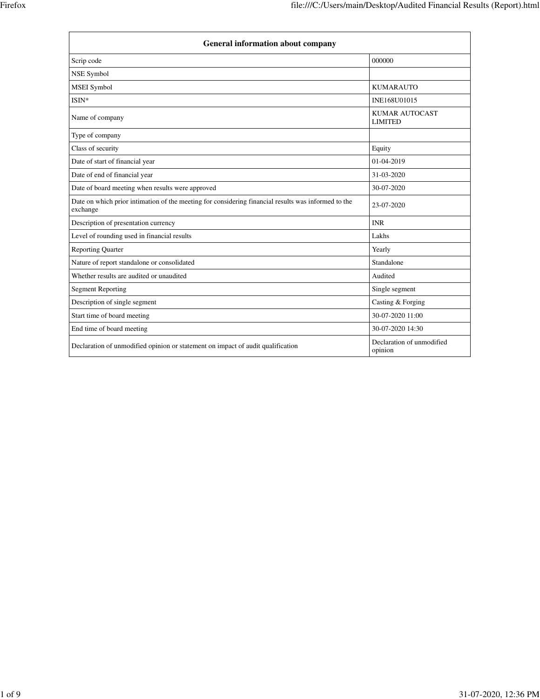| <b>General information about company</b>                                                                        |                                         |  |
|-----------------------------------------------------------------------------------------------------------------|-----------------------------------------|--|
| Scrip code                                                                                                      | 000000                                  |  |
| <b>NSE Symbol</b>                                                                                               |                                         |  |
| <b>MSEI</b> Symbol                                                                                              | <b>KUMARAUTO</b>                        |  |
| ISIN*                                                                                                           | INE168U01015                            |  |
| Name of company                                                                                                 | <b>KUMAR AUTOCAST</b><br><b>LIMITED</b> |  |
| Type of company                                                                                                 |                                         |  |
| Class of security                                                                                               | Equity                                  |  |
| Date of start of financial year                                                                                 | 01-04-2019                              |  |
| Date of end of financial year                                                                                   | 31-03-2020                              |  |
| Date of board meeting when results were approved                                                                | 30-07-2020                              |  |
| Date on which prior intimation of the meeting for considering financial results was informed to the<br>exchange | 23-07-2020                              |  |
| Description of presentation currency                                                                            | <b>INR</b>                              |  |
| Level of rounding used in financial results                                                                     | Lakhs                                   |  |
| <b>Reporting Quarter</b>                                                                                        | Yearly                                  |  |
| Nature of report standalone or consolidated                                                                     | Standalone                              |  |
| Whether results are audited or unaudited                                                                        | Audited                                 |  |
| <b>Segment Reporting</b>                                                                                        | Single segment                          |  |
| Description of single segment                                                                                   | Casting & Forging                       |  |
| Start time of board meeting                                                                                     | 30-07-2020 11:00                        |  |
| End time of board meeting                                                                                       | 30-07-2020 14:30                        |  |
| Declaration of unmodified opinion or statement on impact of audit qualification                                 | Declaration of unmodified<br>opinion    |  |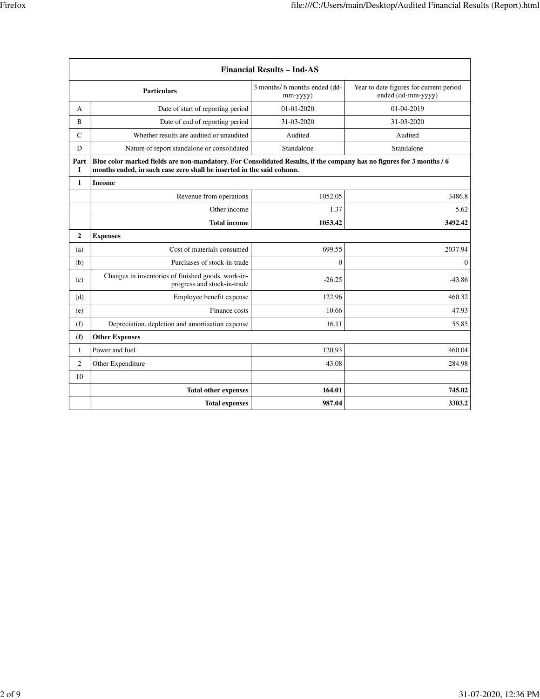| <b>Financial Results - Ind-AS</b> |                                                                                                                                                                                               |                                           |                                                               |
|-----------------------------------|-----------------------------------------------------------------------------------------------------------------------------------------------------------------------------------------------|-------------------------------------------|---------------------------------------------------------------|
|                                   | <b>Particulars</b>                                                                                                                                                                            | 3 months/ 6 months ended (dd-<br>mm-yyyy) | Year to date figures for current period<br>ended (dd-mm-yyyy) |
| A                                 | Date of start of reporting period                                                                                                                                                             | 01-01-2020                                | 01-04-2019                                                    |
| B                                 | Date of end of reporting period                                                                                                                                                               | 31-03-2020                                | 31-03-2020                                                    |
| $\mathcal{C}$                     | Whether results are audited or unaudited                                                                                                                                                      | Audited                                   | Audited                                                       |
| D                                 | Nature of report standalone or consolidated                                                                                                                                                   | Standalone                                | Standalone                                                    |
| Part<br>I                         | Blue color marked fields are non-mandatory. For Consolidated Results, if the company has no figures for 3 months / 6<br>months ended, in such case zero shall be inserted in the said column. |                                           |                                                               |
| $\mathbf{1}$                      | <b>Income</b>                                                                                                                                                                                 |                                           |                                                               |
|                                   | Revenue from operations                                                                                                                                                                       | 1052.05                                   | 3486.8                                                        |
|                                   | Other income                                                                                                                                                                                  | 1.37                                      | 5.62                                                          |
|                                   | <b>Total income</b>                                                                                                                                                                           | 1053.42                                   | 3492.42                                                       |
| 2                                 | <b>Expenses</b>                                                                                                                                                                               |                                           |                                                               |
| (a)                               | Cost of materials consumed                                                                                                                                                                    | 699.55                                    | 2037.94                                                       |
| (b)                               | Purchases of stock-in-trade                                                                                                                                                                   | $\overline{0}$                            | $\mathbf{0}$                                                  |
| (c)                               | Changes in inventories of finished goods, work-in-<br>progress and stock-in-trade                                                                                                             | $-26.25$                                  | $-43.86$                                                      |
| (d)                               | Employee benefit expense                                                                                                                                                                      | 122.96                                    | 460.32                                                        |
| (e)                               | Finance costs                                                                                                                                                                                 | 10.66                                     | 47.93                                                         |
| (f)                               | Depreciation, depletion and amortisation expense                                                                                                                                              | 16.11                                     | 55.85                                                         |
| (f)                               | <b>Other Expenses</b>                                                                                                                                                                         |                                           |                                                               |
| $\mathbf{1}$                      | Power and fuel                                                                                                                                                                                | 120.93                                    | 460.04                                                        |
| 2                                 | Other Expenditure                                                                                                                                                                             | 43.08                                     | 284.98                                                        |
| 10                                |                                                                                                                                                                                               |                                           |                                                               |
|                                   | <b>Total other expenses</b>                                                                                                                                                                   | 164.01                                    | 745.02                                                        |
|                                   | <b>Total expenses</b>                                                                                                                                                                         | 987.04                                    | 3303.2                                                        |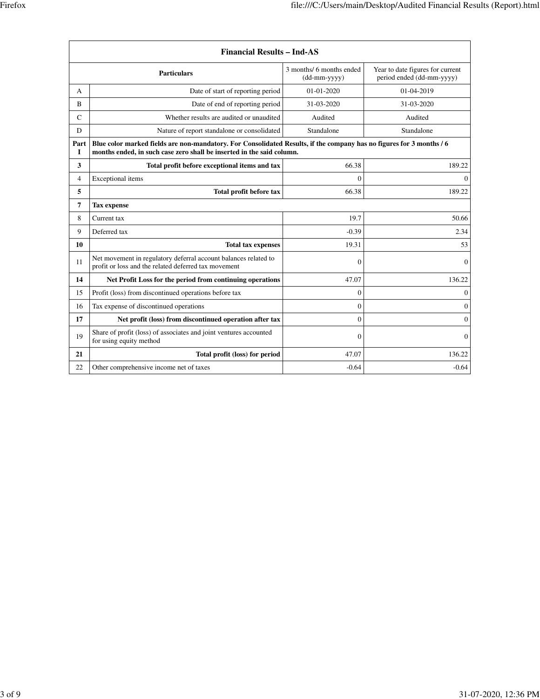| <b>Financial Results - Ind-AS</b> |                                                                                                                                                                                               |                                                                |                                                               |
|-----------------------------------|-----------------------------------------------------------------------------------------------------------------------------------------------------------------------------------------------|----------------------------------------------------------------|---------------------------------------------------------------|
|                                   | <b>Particulars</b>                                                                                                                                                                            | 3 months/ 6 months ended<br>$(dd{\text{-}}\text{mm-}$ yyyy $)$ | Year to date figures for current<br>period ended (dd-mm-yyyy) |
| А                                 | Date of start of reporting period                                                                                                                                                             | 01-01-2020                                                     | 01-04-2019                                                    |
| B                                 | Date of end of reporting period                                                                                                                                                               | 31-03-2020                                                     | 31-03-2020                                                    |
| $\mathsf{C}$                      | Whether results are audited or unaudited                                                                                                                                                      | Audited                                                        | Audited                                                       |
| D                                 | Nature of report standalone or consolidated                                                                                                                                                   | Standalone                                                     | Standalone                                                    |
| Part<br><b>I</b>                  | Blue color marked fields are non-mandatory. For Consolidated Results, if the company has no figures for 3 months / 6<br>months ended, in such case zero shall be inserted in the said column. |                                                                |                                                               |
| 3                                 | Total profit before exceptional items and tax                                                                                                                                                 | 66.38                                                          | 189.22                                                        |
| 4                                 | Exceptional items                                                                                                                                                                             | $\mathbf{0}$                                                   | $\theta$                                                      |
| 5                                 | Total profit before tax                                                                                                                                                                       | 66.38                                                          | 189.22                                                        |
| 7                                 | <b>Tax expense</b>                                                                                                                                                                            |                                                                |                                                               |
| 8                                 | Current tax                                                                                                                                                                                   | 19.7                                                           | 50.66                                                         |
| 9                                 | Deferred tax                                                                                                                                                                                  | $-0.39$                                                        | 2.34                                                          |
| 10<br><b>Total tax expenses</b>   |                                                                                                                                                                                               | 19.31                                                          | 53                                                            |
| 11                                | Net movement in regulatory deferral account balances related to<br>profit or loss and the related deferred tax movement                                                                       | $\mathbf{0}$                                                   | $\theta$                                                      |
| 14                                | Net Profit Loss for the period from continuing operations                                                                                                                                     | 47.07                                                          | 136.22                                                        |
| 15                                | Profit (loss) from discontinued operations before tax                                                                                                                                         | $\mathbf{0}$                                                   | $\mathbf{0}$                                                  |
| 16                                | Tax expense of discontinued operations                                                                                                                                                        | $\mathbf{0}$                                                   | 0                                                             |
| 17                                | Net profit (loss) from discontinued operation after tax                                                                                                                                       | $\mathbf{0}$                                                   | $\mathbf{0}$                                                  |
| 19                                | Share of profit (loss) of associates and joint ventures accounted<br>for using equity method                                                                                                  | $\Omega$                                                       | $\mathbf{0}$                                                  |
| 21                                | Total profit (loss) for period                                                                                                                                                                | 47.07                                                          | 136.22                                                        |
| 22                                | Other comprehensive income net of taxes                                                                                                                                                       | $-0.64$                                                        | $-0.64$                                                       |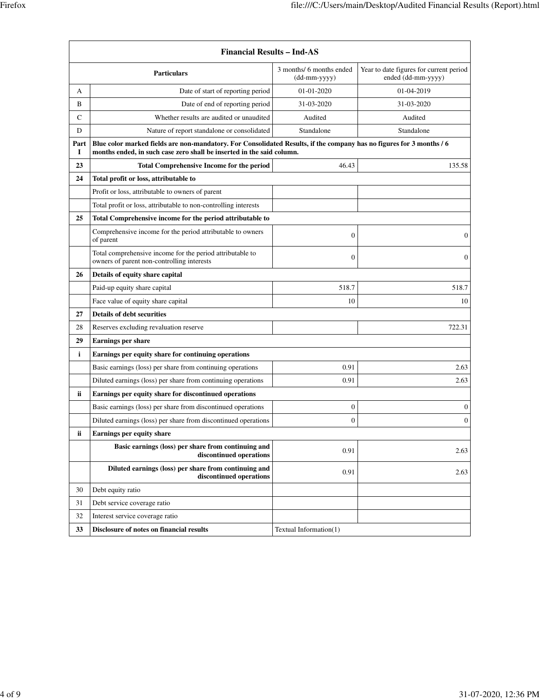| <b>Financial Results - Ind-AS</b> |                                                                                                                                                                                               |                                          |                                                               |
|-----------------------------------|-----------------------------------------------------------------------------------------------------------------------------------------------------------------------------------------------|------------------------------------------|---------------------------------------------------------------|
|                                   | <b>Particulars</b>                                                                                                                                                                            | 3 months/ 6 months ended<br>(dd-mm-yyyy) | Year to date figures for current period<br>ended (dd-mm-yyyy) |
| А                                 | Date of start of reporting period                                                                                                                                                             | 01-01-2020                               | 01-04-2019                                                    |
| B                                 | Date of end of reporting period                                                                                                                                                               | 31-03-2020                               | 31-03-2020                                                    |
| C                                 | Whether results are audited or unaudited                                                                                                                                                      | Audited                                  | Audited                                                       |
| D                                 | Nature of report standalone or consolidated                                                                                                                                                   | Standalone                               | Standalone                                                    |
| Part<br>1                         | Blue color marked fields are non-mandatory. For Consolidated Results, if the company has no figures for 3 months / 6<br>months ended, in such case zero shall be inserted in the said column. |                                          |                                                               |
| 23                                | <b>Total Comprehensive Income for the period</b>                                                                                                                                              | 46.43                                    | 135.58                                                        |
| 24                                | Total profit or loss, attributable to                                                                                                                                                         |                                          |                                                               |
|                                   | Profit or loss, attributable to owners of parent                                                                                                                                              |                                          |                                                               |
|                                   | Total profit or loss, attributable to non-controlling interests                                                                                                                               |                                          |                                                               |
| 25                                | Total Comprehensive income for the period attributable to                                                                                                                                     |                                          |                                                               |
|                                   | Comprehensive income for the period attributable to owners<br>of parent                                                                                                                       | $\boldsymbol{0}$                         | $\theta$                                                      |
|                                   | Total comprehensive income for the period attributable to<br>owners of parent non-controlling interests                                                                                       | $\theta$                                 | $\theta$                                                      |
| 26                                | Details of equity share capital                                                                                                                                                               |                                          |                                                               |
|                                   | Paid-up equity share capital                                                                                                                                                                  | 518.7                                    | 518.7                                                         |
|                                   | Face value of equity share capital                                                                                                                                                            | 10                                       | 10                                                            |
| 27                                | <b>Details of debt securities</b>                                                                                                                                                             |                                          |                                                               |
| 28                                | Reserves excluding revaluation reserve                                                                                                                                                        |                                          | 722.31                                                        |
| 29                                | <b>Earnings per share</b>                                                                                                                                                                     |                                          |                                                               |
| $\mathbf{i}$                      | Earnings per equity share for continuing operations                                                                                                                                           |                                          |                                                               |
|                                   | Basic earnings (loss) per share from continuing operations                                                                                                                                    | 0.91                                     | 2.63                                                          |
|                                   | Diluted earnings (loss) per share from continuing operations                                                                                                                                  | 0.91                                     | 2.63                                                          |
| ii                                | Earnings per equity share for discontinued operations                                                                                                                                         |                                          |                                                               |
|                                   | Basic earnings (loss) per share from discontinued operations                                                                                                                                  | $\boldsymbol{0}$                         | $\mathbf{0}$                                                  |
|                                   | Diluted earnings (loss) per share from discontinued operations                                                                                                                                | $\mathbf{0}$                             | $\mathbf{0}$                                                  |
| ii                                | Earnings per equity share                                                                                                                                                                     |                                          |                                                               |
|                                   | Basic earnings (loss) per share from continuing and<br>discontinued operations                                                                                                                | 0.91                                     | 2.63                                                          |
|                                   | Diluted earnings (loss) per share from continuing and<br>discontinued operations                                                                                                              | 0.91                                     | 2.63                                                          |
| 30                                | Debt equity ratio                                                                                                                                                                             |                                          |                                                               |
| 31                                | Debt service coverage ratio                                                                                                                                                                   |                                          |                                                               |
| 32                                | Interest service coverage ratio                                                                                                                                                               |                                          |                                                               |
| 33                                | Disclosure of notes on financial results                                                                                                                                                      | Textual Information(1)                   |                                                               |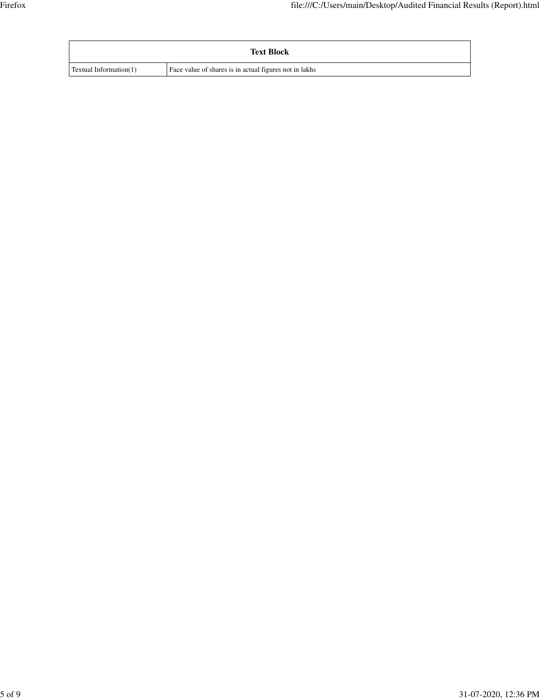|                        | <b>Text Block</b>                                      |
|------------------------|--------------------------------------------------------|
| Textual Information(1) | Face value of shares is in actual figures not in lakhs |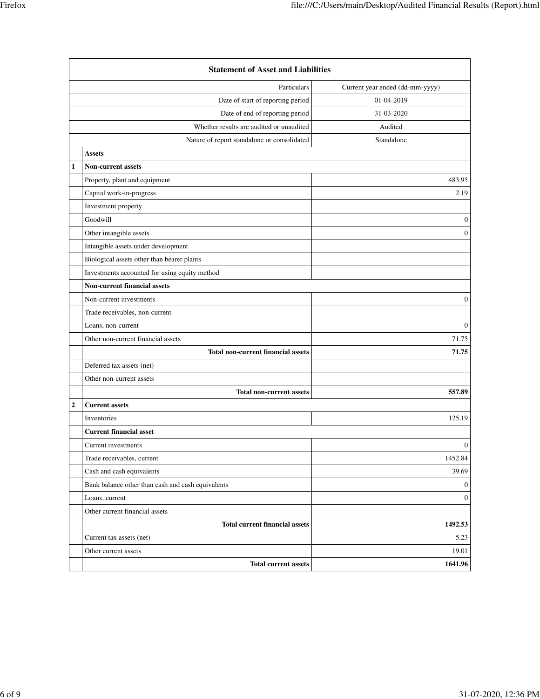|              | <b>Statement of Asset and Liabilities</b>         |                                 |  |  |
|--------------|---------------------------------------------------|---------------------------------|--|--|
|              | Particulars                                       | Current year ended (dd-mm-yyyy) |  |  |
|              | Date of start of reporting period                 | 01-04-2019                      |  |  |
|              | Date of end of reporting period                   | 31-03-2020                      |  |  |
|              | Whether results are audited or unaudited          | Audited                         |  |  |
|              | Nature of report standalone or consolidated       | Standalone                      |  |  |
|              | <b>Assets</b>                                     |                                 |  |  |
| $\mathbf{1}$ | <b>Non-current assets</b>                         |                                 |  |  |
|              | Property, plant and equipment                     | 483.95                          |  |  |
|              | Capital work-in-progress                          | 2.19                            |  |  |
|              | Investment property                               |                                 |  |  |
|              | Goodwill                                          | $\mathbf{0}$                    |  |  |
|              | Other intangible assets                           | $\mathbf{0}$                    |  |  |
|              | Intangible assets under development               |                                 |  |  |
|              | Biological assets other than bearer plants        |                                 |  |  |
|              | Investments accounted for using equity method     |                                 |  |  |
|              | Non-current financial assets                      |                                 |  |  |
|              | Non-current investments                           | $\mathbf{0}$                    |  |  |
|              | Trade receivables, non-current                    |                                 |  |  |
|              | Loans, non-current                                | $\mathbf{0}$                    |  |  |
|              | Other non-current financial assets                | 71.75                           |  |  |
|              | <b>Total non-current financial assets</b>         | 71.75                           |  |  |
|              | Deferred tax assets (net)                         |                                 |  |  |
|              | Other non-current assets                          |                                 |  |  |
|              | <b>Total non-current assets</b>                   | 557.89                          |  |  |
| $\mathbf 2$  | <b>Current assets</b>                             |                                 |  |  |
|              | Inventories                                       | 125.19                          |  |  |
|              | <b>Current financial asset</b>                    |                                 |  |  |
|              | Current investments                               | $\mathbf{0}$                    |  |  |
|              | Trade receivables, current                        | 1452.84                         |  |  |
|              | Cash and cash equivalents                         | 39.69                           |  |  |
|              | Bank balance other than cash and cash equivalents | $\overline{0}$                  |  |  |
|              | Loans, current                                    | $\overline{0}$                  |  |  |
|              | Other current financial assets                    |                                 |  |  |
|              | <b>Total current financial assets</b>             | 1492.53                         |  |  |
|              | Current tax assets (net)                          | 5.23                            |  |  |
|              | Other current assets                              | 19.01                           |  |  |
|              | <b>Total current assets</b>                       | 1641.96                         |  |  |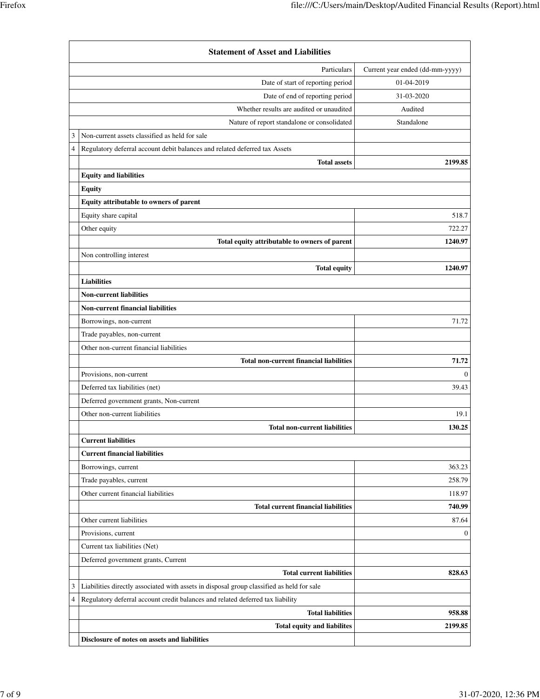|                | <b>Statement of Asset and Liabilities</b>                                                 |                                 |
|----------------|-------------------------------------------------------------------------------------------|---------------------------------|
|                | Particulars                                                                               | Current year ended (dd-mm-yyyy) |
|                | Date of start of reporting period                                                         | 01-04-2019                      |
|                | Date of end of reporting period                                                           | 31-03-2020                      |
|                | Whether results are audited or unaudited                                                  | Audited                         |
|                | Nature of report standalone or consolidated                                               | Standalone                      |
| 3              | Non-current assets classified as held for sale                                            |                                 |
| $\overline{4}$ | Regulatory deferral account debit balances and related deferred tax Assets                |                                 |
|                | <b>Total assets</b>                                                                       | 2199.85                         |
|                | <b>Equity and liabilities</b>                                                             |                                 |
|                | <b>Equity</b>                                                                             |                                 |
|                | Equity attributable to owners of parent                                                   |                                 |
|                | Equity share capital                                                                      | 518.7                           |
|                | Other equity                                                                              | 722.27                          |
|                | Total equity attributable to owners of parent                                             | 1240.97                         |
|                | Non controlling interest                                                                  |                                 |
|                | <b>Total equity</b>                                                                       | 1240.97                         |
|                | <b>Liabilities</b>                                                                        |                                 |
|                | <b>Non-current liabilities</b>                                                            |                                 |
|                | <b>Non-current financial liabilities</b>                                                  |                                 |
|                | Borrowings, non-current                                                                   | 71.72                           |
|                | Trade payables, non-current                                                               |                                 |
|                | Other non-current financial liabilities                                                   |                                 |
|                | <b>Total non-current financial liabilities</b>                                            | 71.72                           |
|                | Provisions, non-current                                                                   | $\theta$                        |
|                | Deferred tax liabilities (net)                                                            | 39.43                           |
|                | Deferred government grants, Non-current                                                   |                                 |
|                | Other non-current liabilities                                                             | 19.1                            |
|                | <b>Total non-current liabilities</b>                                                      | 130.25                          |
|                | <b>Current liabilities</b>                                                                |                                 |
|                | <b>Current financial liabilities</b>                                                      |                                 |
|                | Borrowings, current                                                                       | 363.23                          |
|                | Trade payables, current                                                                   | 258.79                          |
|                | Other current financial liabilities                                                       | 118.97                          |
|                | <b>Total current financial liabilities</b>                                                | 740.99                          |
|                | Other current liabilities                                                                 | 87.64                           |
|                | Provisions, current                                                                       | $\theta$                        |
|                | Current tax liabilities (Net)                                                             |                                 |
|                | Deferred government grants, Current                                                       |                                 |
|                | <b>Total current liabilities</b>                                                          | 828.63                          |
| $\mathfrak{Z}$ | Liabilities directly associated with assets in disposal group classified as held for sale |                                 |
| $\overline{4}$ | Regulatory deferral account credit balances and related deferred tax liability            |                                 |
|                | <b>Total liabilities</b>                                                                  | 958.88                          |
|                | Total equity and liabilites                                                               | 2199.85                         |
|                | Disclosure of notes on assets and liabilities                                             |                                 |